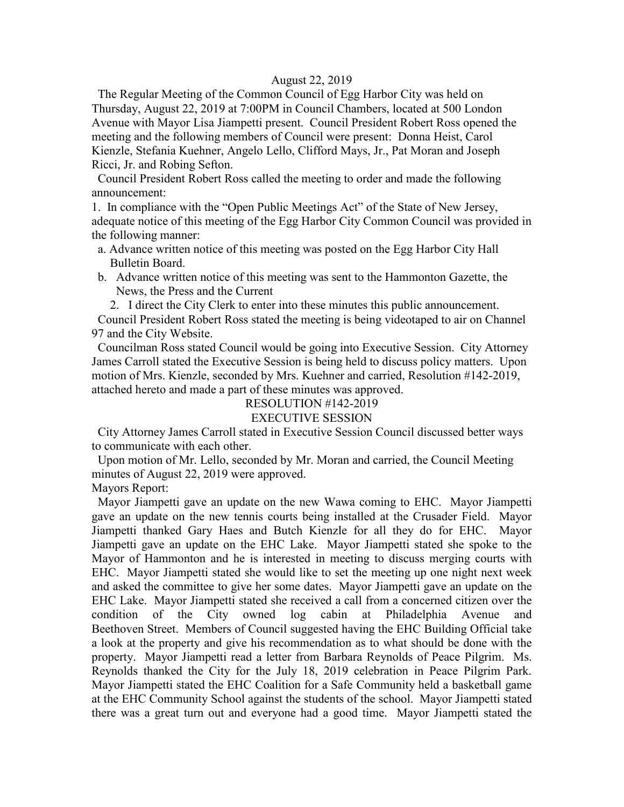#### August 22, 2019

 The Regular Meeting of the Common Council of Egg Harbor City was held on Thursday, August 22, 2019 at 7:00PM in Council Chambers, located at 500 London Avenue with Mayor Lisa Jiampetti present. Council President Robert Ross opened the meeting and the following members of Council were present: Donna Heist, Carol Kienzle, Stefania Kuehner, Angelo Lello, Clifford Mays, Jr., Pat Moran and Joseph Ricci, Jr. and Robing Sefton.

 Council President Robert Ross called the meeting to order and made the following announcement:

1. In compliance with the "Open Public Meetings Act" of the State of New Jersey, adequate notice of this meeting of the Egg Harbor City Common Council was provided in the following manner:

- a. Advance written notice of this meeting was posted on the Egg Harbor City Hall Bulletin Board.
- b. Advance written notice of this meeting was sent to the Hammonton Gazette, the News, the Press and the Current

2. I direct the City Clerk to enter into these minutes this public announcement.

 Council President Robert Ross stated the meeting is being videotaped to air on Channel 97 and the City Website.

 Councilman Ross stated Council would be going into Executive Session. City Attorney James Carroll stated the Executive Session is being held to discuss policy matters. Upon motion of Mrs. Kienzle, seconded by Mrs. Kuehner and carried, Resolution #142-2019, attached hereto and made a part of these minutes was approved.

## RESOLUTION #142-2019

## EXECUTIVE SESSION

 City Attorney James Carroll stated in Executive Session Council discussed better ways to communicate with each other.

 Upon motion of Mr. Lello, seconded by Mr. Moran and carried, the Council Meeting minutes of August 22, 2019 were approved.

Mayors Report:

 Mayor Jiampetti gave an update on the new Wawa coming to EHC. Mayor Jiampetti gave an update on the new tennis courts being installed at the Crusader Field. Mayor Jiampetti thanked Gary Haes and Butch Kienzle for all they do for EHC. Mayor Jiampetti gave an update on the EHC Lake. Mayor Jiampetti stated she spoke to the Mayor of Hammonton and he is interested in meeting to discuss merging courts with EHC. Mayor Jiampetti stated she would like to set the meeting up one night next week and asked the committee to give her some dates. Mayor Jiampetti gave an update on the EHC Lake. Mayor Jiampetti stated she received a call from a concerned citizen over the condition of the City owned log cabin at Philadelphia Avenue and Beethoven Street. Members of Council suggested having the EHC Building Official take a look at the property and give his recommendation as to what should be done with the property. Mayor Jiampetti read a letter from Barbara Reynolds of Peace Pilgrim. Ms. Reynolds thanked the City for the July 18, 2019 celebration in Peace Pilgrim Park. Mayor Jiampetti stated the EHC Coalition for a Safe Community held a basketball game at the EHC Community School against the students of the school. Mayor Jiampetti stated there was a great turn out and everyone had a good time. Mayor Jiampetti stated the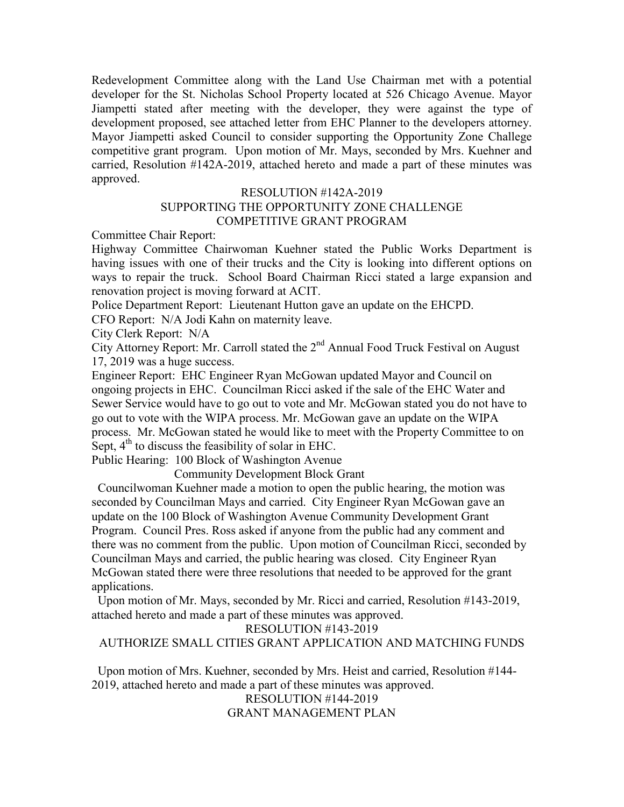Redevelopment Committee along with the Land Use Chairman met with a potential developer for the St. Nicholas School Property located at 526 Chicago Avenue. Mayor Jiampetti stated after meeting with the developer, they were against the type of development proposed, see attached letter from EHC Planner to the developers attorney. Mayor Jiampetti asked Council to consider supporting the Opportunity Zone Challege competitive grant program. Upon motion of Mr. Mays, seconded by Mrs. Kuehner and carried, Resolution #142A-2019, attached hereto and made a part of these minutes was approved.

#### RESOLUTION #142A-2019

#### SUPPORTING THE OPPORTUNITY ZONE CHALLENGE COMPETITIVE GRANT PROGRAM

Committee Chair Report:

Highway Committee Chairwoman Kuehner stated the Public Works Department is having issues with one of their trucks and the City is looking into different options on ways to repair the truck. School Board Chairman Ricci stated a large expansion and renovation project is moving forward at ACIT.

Police Department Report: Lieutenant Hutton gave an update on the EHCPD.

CFO Report: N/A Jodi Kahn on maternity leave.

City Clerk Report: N/A

City Attorney Report: Mr. Carroll stated the 2<sup>nd</sup> Annual Food Truck Festival on August 17, 2019 was a huge success.

Engineer Report: EHC Engineer Ryan McGowan updated Mayor and Council on ongoing projects in EHC. Councilman Ricci asked if the sale of the EHC Water and Sewer Service would have to go out to vote and Mr. McGowan stated you do not have to go out to vote with the WIPA process. Mr. McGowan gave an update on the WIPA process. Mr. McGowan stated he would like to meet with the Property Committee to on Sept,  $4<sup>th</sup>$  to discuss the feasibility of solar in EHC.

Public Hearing: 100 Block of Washington Avenue

Community Development Block Grant

 Councilwoman Kuehner made a motion to open the public hearing, the motion was seconded by Councilman Mays and carried. City Engineer Ryan McGowan gave an update on the 100 Block of Washington Avenue Community Development Grant Program. Council Pres. Ross asked if anyone from the public had any comment and there was no comment from the public. Upon motion of Councilman Ricci, seconded by Councilman Mays and carried, the public hearing was closed. City Engineer Ryan McGowan stated there were three resolutions that needed to be approved for the grant applications.

 Upon motion of Mr. Mays, seconded by Mr. Ricci and carried, Resolution #143-2019, attached hereto and made a part of these minutes was approved.

RESOLUTION #143-2019

AUTHORIZE SMALL CITIES GRANT APPLICATION AND MATCHING FUNDS

 Upon motion of Mrs. Kuehner, seconded by Mrs. Heist and carried, Resolution #144- 2019, attached hereto and made a part of these minutes was approved.

RESOLUTION #144-2019 GRANT MANAGEMENT PLAN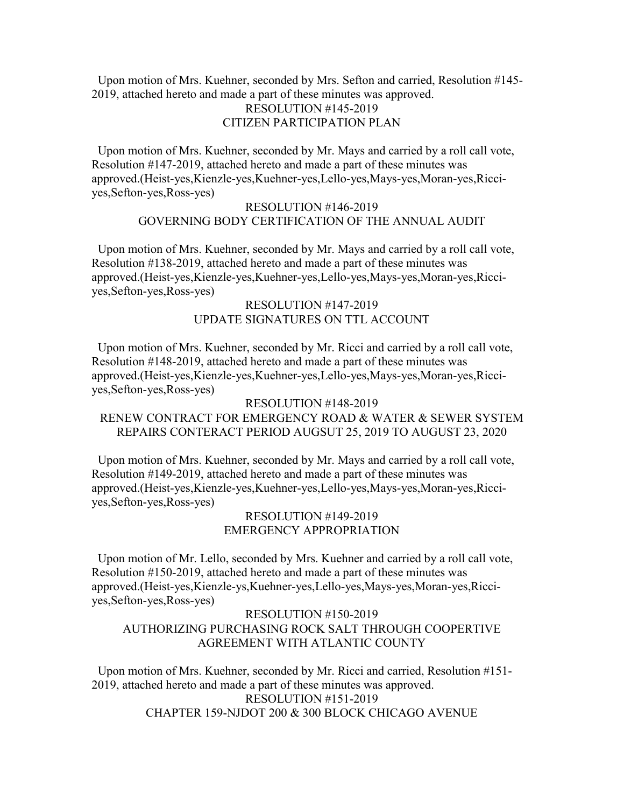Upon motion of Mrs. Kuehner, seconded by Mrs. Sefton and carried, Resolution #145- 2019, attached hereto and made a part of these minutes was approved. RESOLUTION #145-2019 CITIZEN PARTICIPATION PLAN

 Upon motion of Mrs. Kuehner, seconded by Mr. Mays and carried by a roll call vote, Resolution #147-2019, attached hereto and made a part of these minutes was approved.(Heist-yes,Kienzle-yes,Kuehner-yes,Lello-yes,Mays-yes,Moran-yes,Ricciyes,Sefton-yes,Ross-yes)

#### RESOLUTION #146-2019 GOVERNING BODY CERTIFICATION OF THE ANNUAL AUDIT

 Upon motion of Mrs. Kuehner, seconded by Mr. Mays and carried by a roll call vote, Resolution #138-2019, attached hereto and made a part of these minutes was approved.(Heist-yes,Kienzle-yes,Kuehner-yes,Lello-yes,Mays-yes,Moran-yes,Ricciyes,Sefton-yes,Ross-yes)

#### RESOLUTION #147-2019 UPDATE SIGNATURES ON TTL ACCOUNT

 Upon motion of Mrs. Kuehner, seconded by Mr. Ricci and carried by a roll call vote, Resolution #148-2019, attached hereto and made a part of these minutes was approved.(Heist-yes,Kienzle-yes,Kuehner-yes,Lello-yes,Mays-yes,Moran-yes,Ricciyes,Sefton-yes,Ross-yes)

### RESOLUTION #148-2019 RENEW CONTRACT FOR EMERGENCY ROAD & WATER & SEWER SYSTEM REPAIRS CONTERACT PERIOD AUGSUT 25, 2019 TO AUGUST 23, 2020

 Upon motion of Mrs. Kuehner, seconded by Mr. Mays and carried by a roll call vote, Resolution #149-2019, attached hereto and made a part of these minutes was approved.(Heist-yes,Kienzle-yes,Kuehner-yes,Lello-yes,Mays-yes,Moran-yes,Ricciyes,Sefton-yes,Ross-yes)

#### RESOLUTION #149-2019 EMERGENCY APPROPRIATION

 Upon motion of Mr. Lello, seconded by Mrs. Kuehner and carried by a roll call vote, Resolution #150-2019, attached hereto and made a part of these minutes was approved.(Heist-yes,Kienzle-ys,Kuehner-yes,Lello-yes,Mays-yes,Moran-yes,Ricciyes,Sefton-yes,Ross-yes)

#### RESOLUTION #150-2019 AUTHORIZING PURCHASING ROCK SALT THROUGH COOPERTIVE AGREEMENT WITH ATLANTIC COUNTY

 Upon motion of Mrs. Kuehner, seconded by Mr. Ricci and carried, Resolution #151- 2019, attached hereto and made a part of these minutes was approved. RESOLUTION #151-2019 CHAPTER 159-NJDOT 200 & 300 BLOCK CHICAGO AVENUE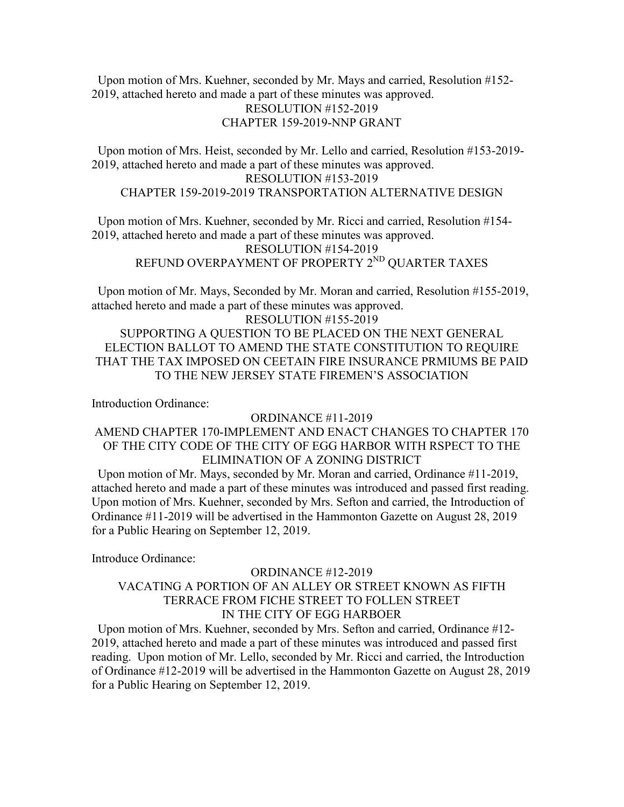Upon motion of Mrs. Kuehner, seconded by Mr. Mays and carried, Resolution #152- 2019, attached hereto and made a part of these minutes was approved. RESOLUTION #152-2019

## CHAPTER 159-2019-NNP GRANT

 Upon motion of Mrs. Heist, seconded by Mr. Lello and carried, Resolution #153-2019- 2019, attached hereto and made a part of these minutes was approved. RESOLUTION #153-2019 CHAPTER 159-2019-2019 TRANSPORTATION ALTERNATIVE DESIGN

 Upon motion of Mrs. Kuehner, seconded by Mr. Ricci and carried, Resolution #154- 2019, attached hereto and made a part of these minutes was approved. RESOLUTION #154-2019 REFUND OVERPAYMENT OF PROPERTY 2<sup>ND</sup> QUARTER TAXES

 Upon motion of Mr. Mays, Seconded by Mr. Moran and carried, Resolution #155-2019, attached hereto and made a part of these minutes was approved.

RESOLUTION #155-2019 SUPPORTING A QUESTION TO BE PLACED ON THE NEXT GENERAL ELECTION BALLOT TO AMEND THE STATE CONSTITUTION TO REQUIRE THAT THE TAX IMPOSED ON CEETAIN FIRE INSURANCE PRMIUMS BE PAID TO THE NEW JERSEY STATE FIREMEN'S ASSOCIATION

Introduction Ordinance:

#### ORDINANCE #11-2019

## AMEND CHAPTER 170-IMPLEMENT AND ENACT CHANGES TO CHAPTER 170 OF THE CITY CODE OF THE CITY OF EGG HARBOR WITH RSPECT TO THE ELIMINATION OF A ZONING DISTRICT

 Upon motion of Mr. Mays, seconded by Mr. Moran and carried, Ordinance #11-2019, attached hereto and made a part of these minutes was introduced and passed first reading. Upon motion of Mrs. Kuehner, seconded by Mrs. Sefton and carried, the Introduction of Ordinance #11-2019 will be advertised in the Hammonton Gazette on August 28, 2019 for a Public Hearing on September 12, 2019.

Introduce Ordinance:

## ORDINANCE #12-2019 VACATING A PORTION OF AN ALLEY OR STREET KNOWN AS FIFTH TERRACE FROM FICHE STREET TO FOLLEN STREET IN THE CITY OF EGG HARBOER

 Upon motion of Mrs. Kuehner, seconded by Mrs. Sefton and carried, Ordinance #12- 2019, attached hereto and made a part of these minutes was introduced and passed first reading. Upon motion of Mr. Lello, seconded by Mr. Ricci and carried, the Introduction of Ordinance #12-2019 will be advertised in the Hammonton Gazette on August 28, 2019 for a Public Hearing on September 12, 2019.